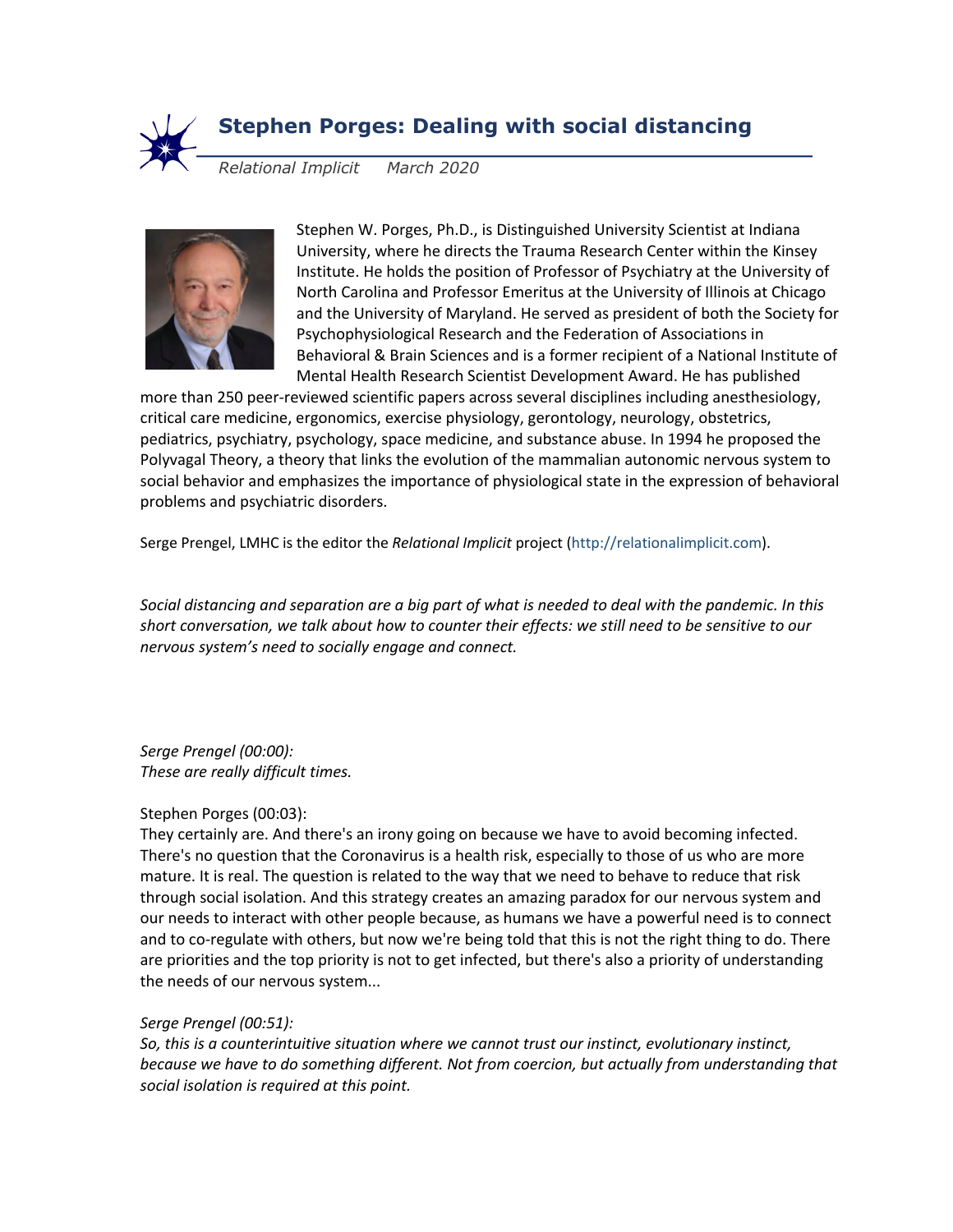

# **Stephen Porges: Dealing with social distancing**

*Relational Implicit March 2020*



Stephen W. Porges, Ph.D., is Distinguished University Scientist at Indiana University, where he directs the Trauma Research Center within the Kinsey Institute. He holds the position of Professor of Psychiatry at the University of North Carolina and Professor Emeritus at the University of Illinois at Chicago and the University of Maryland. He served as president of both the Society for Psychophysiological Research and the Federation of Associations in Behavioral & Brain Sciences and is a former recipient of a National Institute of Mental Health Research Scientist Development Award. He has published

more than 250 peer-reviewed scientific papers across several disciplines including anesthesiology, critical care medicine, ergonomics, exercise physiology, gerontology, neurology, obstetrics, pediatrics, psychiatry, psychology, space medicine, and substance abuse. In 1994 he proposed the Polyvagal Theory, a theory that links the evolution of the mammalian autonomic nervous system to social behavior and emphasizes the importance of physiological state in the expression of behavioral problems and psychiatric disorders.

Serge Prengel, LMHC is the editor the *Relational Implicit* project (http://relationalimplicit.com).

*Social distancing and separation are a big part of what is needed to deal with the pandemic. In this short conversation, we talk about how to counter their effects: we still need to be sensitive to our nervous system's need to socially engage and connect.*

*Serge Prengel (00:00): These are really difficult times.*

# Stephen Porges (00:03):

They certainly are. And there's an irony going on because we have to avoid becoming infected. There's no question that the Coronavirus is a health risk, especially to those of us who are more mature. It is real. The question is related to the way that we need to behave to reduce that risk through social isolation. And this strategy creates an amazing paradox for our nervous system and our needs to interact with other people because, as humans we have a powerful need is to connect and to co-regulate with others, but now we're being told that this is not the right thing to do. There are priorities and the top priority is not to get infected, but there's also a priority of understanding the needs of our nervous system...

# *Serge Prengel (00:51):*

*So, this is a counterintuitive situation where we cannot trust our instinct, evolutionary instinct, because we have to do something different. Not from coercion, but actually from understanding that social isolation is required at this point.*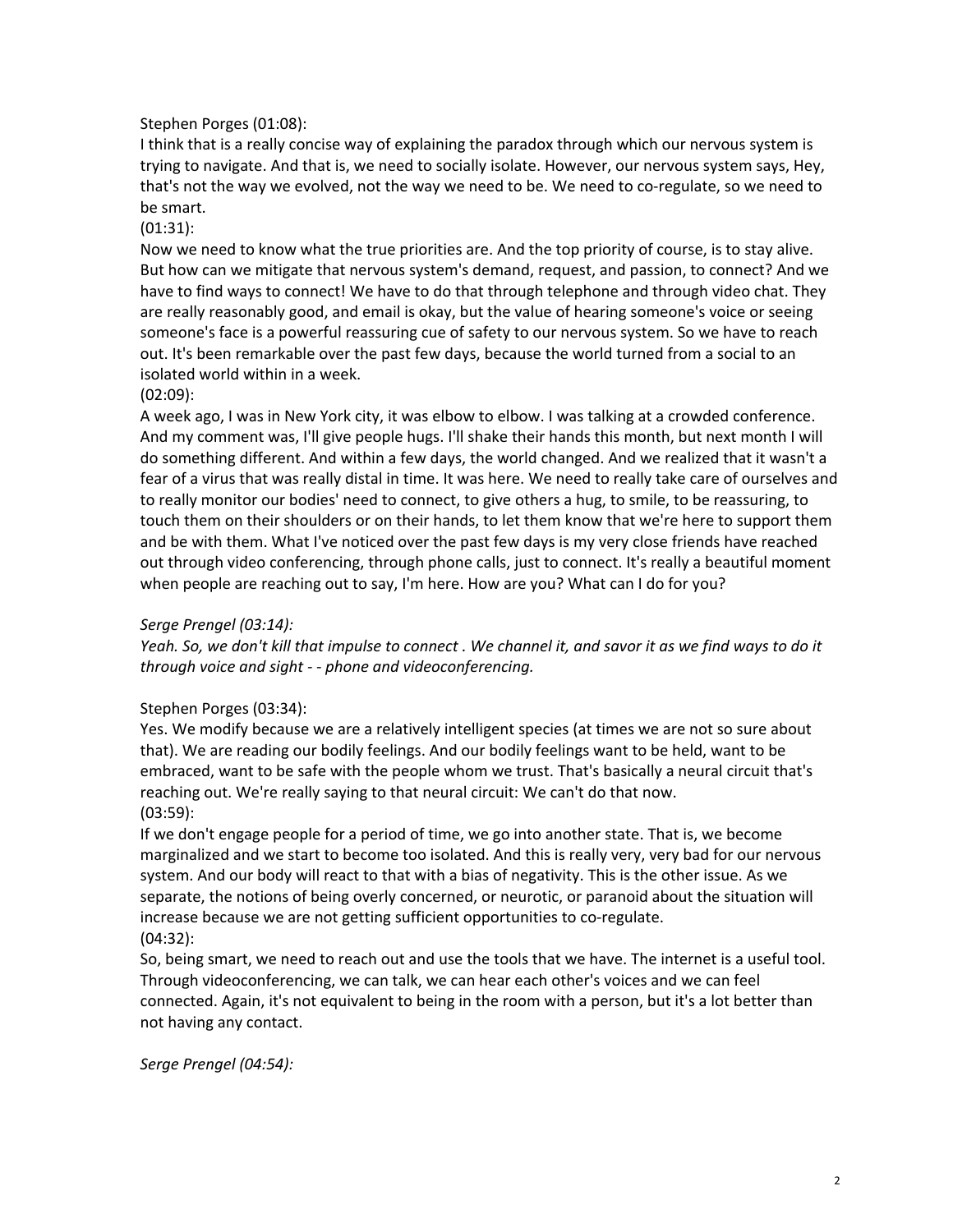# Stephen Porges (01:08):

I think that is a really concise way of explaining the paradox through which our nervous system is trying to navigate. And that is, we need to socially isolate. However, our nervous system says, Hey, that's not the way we evolved, not the way we need to be. We need to co-regulate, so we need to be smart.

#### (01:31):

Now we need to know what the true priorities are. And the top priority of course, is to stay alive. But how can we mitigate that nervous system's demand, request, and passion, to connect? And we have to find ways to connect! We have to do that through telephone and through video chat. They are really reasonably good, and email is okay, but the value of hearing someone's voice or seeing someone's face is a powerful reassuring cue of safety to our nervous system. So we have to reach out. It's been remarkable over the past few days, because the world turned from a social to an isolated world within in a week.

#### (02:09):

A week ago, I was in New York city, it was elbow to elbow. I was talking at a crowded conference. And my comment was, I'll give people hugs. I'll shake their hands this month, but next month I will do something different. And within a few days, the world changed. And we realized that it wasn't a fear of a virus that was really distal in time. It was here. We need to really take care of ourselves and to really monitor our bodies' need to connect, to give others a hug, to smile, to be reassuring, to touch them on their shoulders or on their hands, to let them know that we're here to support them and be with them. What I've noticed over the past few days is my very close friends have reached out through video conferencing, through phone calls, just to connect. It's really a beautiful moment when people are reaching out to say, I'm here. How are you? What can I do for you?

#### *Serge Prengel (03:14):*

*Yeah. So, we don't kill that impulse to connect . We channel it, and savor it as we find ways to do it through voice and sight - - phone and videoconferencing.*

# Stephen Porges (03:34):

Yes. We modify because we are a relatively intelligent species (at times we are not so sure about that). We are reading our bodily feelings. And our bodily feelings want to be held, want to be embraced, want to be safe with the people whom we trust. That's basically a neural circuit that's reaching out. We're really saying to that neural circuit: We can't do that now. (03:59):

If we don't engage people for a period of time, we go into another state. That is, we become marginalized and we start to become too isolated. And this is really very, very bad for our nervous system. And our body will react to that with a bias of negativity. This is the other issue. As we separate, the notions of being overly concerned, or neurotic, or paranoid about the situation will increase because we are not getting sufficient opportunities to co-regulate. (04:32):

So, being smart, we need to reach out and use the tools that we have. The internet is a useful tool. Through videoconferencing, we can talk, we can hear each other's voices and we can feel connected. Again, it's not equivalent to being in the room with a person, but it's a lot better than not having any contact.

*Serge Prengel (04:54):*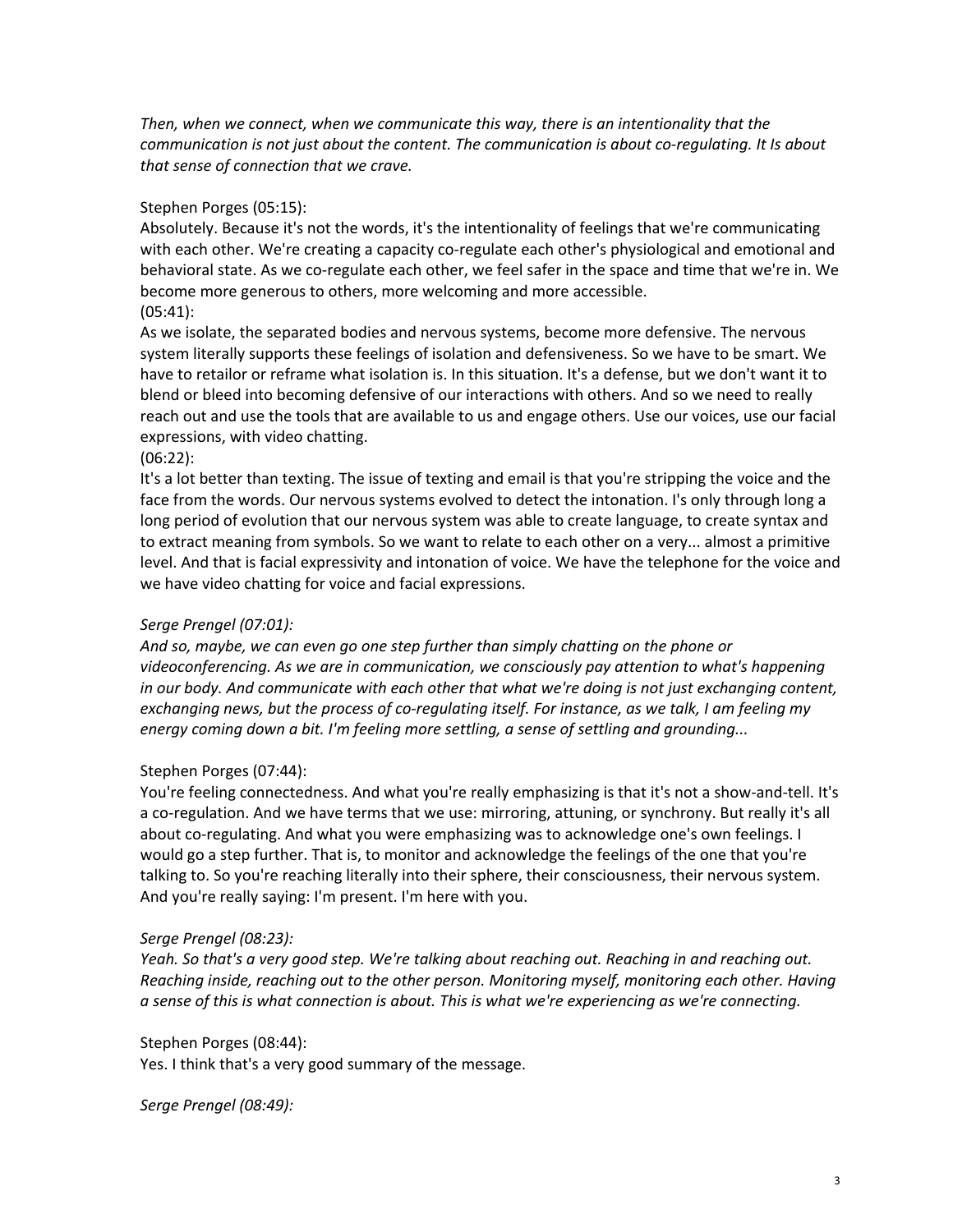*Then, when we connect, when we communicate this way, there is an intentionality that the communication is not just about the content. The communication is about co-regulating. It Is about that sense of connection that we crave.*

#### Stephen Porges (05:15):

Absolutely. Because it's not the words, it's the intentionality of feelings that we're communicating with each other. We're creating a capacity co-regulate each other's physiological and emotional and behavioral state. As we co-regulate each other, we feel safer in the space and time that we're in. We become more generous to others, more welcoming and more accessible. (05:41):

As we isolate, the separated bodies and nervous systems, become more defensive. The nervous system literally supports these feelings of isolation and defensiveness. So we have to be smart. We have to retailor or reframe what isolation is. In this situation. It's a defense, but we don't want it to blend or bleed into becoming defensive of our interactions with others. And so we need to really reach out and use the tools that are available to us and engage others. Use our voices, use our facial expressions, with video chatting.

(06:22):

It's a lot better than texting. The issue of texting and email is that you're stripping the voice and the face from the words. Our nervous systems evolved to detect the intonation. I's only through long a long period of evolution that our nervous system was able to create language, to create syntax and to extract meaning from symbols. So we want to relate to each other on a very... almost a primitive level. And that is facial expressivity and intonation of voice. We have the telephone for the voice and we have video chatting for voice and facial expressions.

# *Serge Prengel (07:01):*

*And so, maybe, we can even go one step further than simply chatting on the phone or videoconferencing. As we are in communication, we consciously pay attention to what's happening in our body. And communicate with each other that what we're doing is not just exchanging content, exchanging news, but the process of co-regulating itself. For instance, as we talk, I am feeling my energy coming down a bit. I'm feeling more settling, a sense of settling and grounding...*

# Stephen Porges (07:44):

You're feeling connectedness. And what you're really emphasizing is that it's not a show-and-tell. It's a co-regulation. And we have terms that we use: mirroring, attuning, or synchrony. But really it's all about co-regulating. And what you were emphasizing was to acknowledge one's own feelings. I would go a step further. That is, to monitor and acknowledge the feelings of the one that you're talking to. So you're reaching literally into their sphere, their consciousness, their nervous system. And you're really saying: I'm present. I'm here with you.

#### *Serge Prengel (08:23):*

*Yeah. So that's a very good step. We're talking about reaching out. Reaching in and reaching out. Reaching inside, reaching out to the other person. Monitoring myself, monitoring each other. Having a sense of this is what connection is about. This is what we're experiencing as we're connecting.*

#### Stephen Porges (08:44):

Yes. I think that's a very good summary of the message.

*Serge Prengel (08:49):*